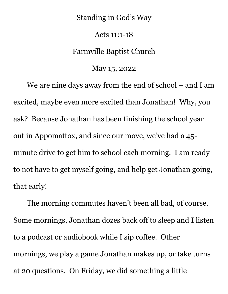## Standing in God's Way

## Acts 11:1-18

## Farmville Baptist Church

## May 15, 2022

We are nine days away from the end of school – and I am excited, maybe even more excited than Jonathan! Why, you ask? Because Jonathan has been finishing the school year out in Appomattox, and since our move, we've had a 45 minute drive to get him to school each morning. I am ready to not have to get myself going, and help get Jonathan going, that early!

The morning commutes haven't been all bad, of course. Some mornings, Jonathan dozes back off to sleep and I listen to a podcast or audiobook while I sip coffee. Other mornings, we play a game Jonathan makes up, or take turns at 20 questions. On Friday, we did something a little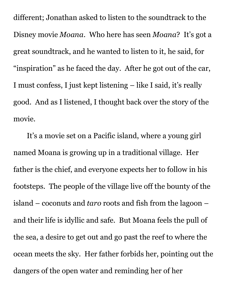different; Jonathan asked to listen to the soundtrack to the Disney movie *Moana*. Who here has seen *Moana*? It's got a great soundtrack, and he wanted to listen to it, he said, for "inspiration" as he faced the day. After he got out of the car, I must confess, I just kept listening – like I said, it's really good. And as I listened, I thought back over the story of the movie.

It's a movie set on a Pacific island, where a young girl named Moana is growing up in a traditional village. Her father is the chief, and everyone expects her to follow in his footsteps. The people of the village live off the bounty of the island – coconuts and *taro* roots and fish from the lagoon – and their life is idyllic and safe. But Moana feels the pull of the sea, a desire to get out and go past the reef to where the ocean meets the sky. Her father forbids her, pointing out the dangers of the open water and reminding her of her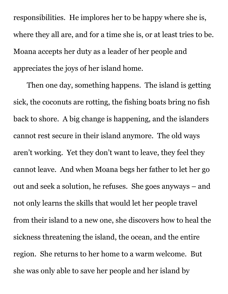responsibilities. He implores her to be happy where she is, where they all are, and for a time she is, or at least tries to be. Moana accepts her duty as a leader of her people and appreciates the joys of her island home.

Then one day, something happens. The island is getting sick, the coconuts are rotting, the fishing boats bring no fish back to shore. A big change is happening, and the islanders cannot rest secure in their island anymore. The old ways aren't working. Yet they don't want to leave, they feel they cannot leave. And when Moana begs her father to let her go out and seek a solution, he refuses. She goes anyways – and not only learns the skills that would let her people travel from their island to a new one, she discovers how to heal the sickness threatening the island, the ocean, and the entire region. She returns to her home to a warm welcome. But she was only able to save her people and her island by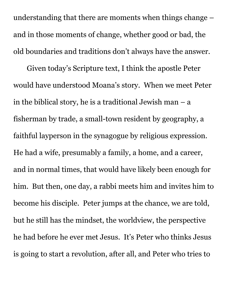understanding that there are moments when things change – and in those moments of change, whether good or bad, the old boundaries and traditions don't always have the answer.

Given today's Scripture text, I think the apostle Peter would have understood Moana's story. When we meet Peter in the biblical story, he is a traditional Jewish man – a fisherman by trade, a small-town resident by geography, a faithful layperson in the synagogue by religious expression. He had a wife, presumably a family, a home, and a career, and in normal times, that would have likely been enough for him. But then, one day, a rabbi meets him and invites him to become his disciple. Peter jumps at the chance, we are told, but he still has the mindset, the worldview, the perspective he had before he ever met Jesus. It's Peter who thinks Jesus is going to start a revolution, after all, and Peter who tries to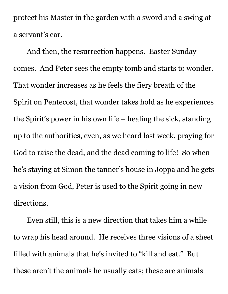protect his Master in the garden with a sword and a swing at a servant's ear.

And then, the resurrection happens. Easter Sunday comes. And Peter sees the empty tomb and starts to wonder. That wonder increases as he feels the fiery breath of the Spirit on Pentecost, that wonder takes hold as he experiences the Spirit's power in his own life – healing the sick, standing up to the authorities, even, as we heard last week, praying for God to raise the dead, and the dead coming to life! So when he's staying at Simon the tanner's house in Joppa and he gets a vision from God, Peter is used to the Spirit going in new directions.

Even still, this is a new direction that takes him a while to wrap his head around. He receives three visions of a sheet filled with animals that he's invited to "kill and eat." But these aren't the animals he usually eats; these are animals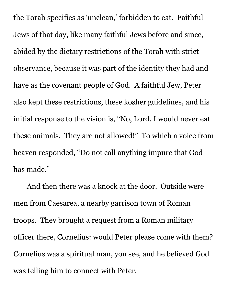the Torah specifies as 'unclean,' forbidden to eat. Faithful Jews of that day, like many faithful Jews before and since, abided by the dietary restrictions of the Torah with strict observance, because it was part of the identity they had and have as the covenant people of God. A faithful Jew, Peter also kept these restrictions, these kosher guidelines, and his initial response to the vision is, "No, Lord, I would never eat these animals. They are not allowed!" To which a voice from heaven responded, "Do not call anything impure that God has made."

And then there was a knock at the door. Outside were men from Caesarea, a nearby garrison town of Roman troops. They brought a request from a Roman military officer there, Cornelius: would Peter please come with them? Cornelius was a spiritual man, you see, and he believed God was telling him to connect with Peter.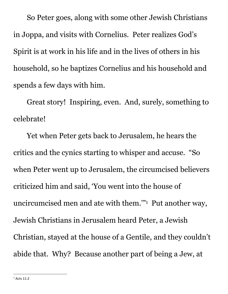So Peter goes, along with some other Jewish Christians in Joppa, and visits with Cornelius. Peter realizes God's Spirit is at work in his life and in the lives of others in his household, so he baptizes Cornelius and his household and spends a few days with him.

Great story! Inspiring, even. And, surely, something to celebrate!

Yet when Peter gets back to Jerusalem, he hears the critics and the cynics starting to whisper and accuse. "So when Peter went up to Jerusalem, the circumcised believers criticized him and said, 'You went into the house of uncircumcised men and ate with them.'"<sup>1</sup> Put another way, Jewish Christians in Jerusalem heard Peter, a Jewish Christian, stayed at the house of a Gentile, and they couldn't abide that. Why? Because another part of being a Jew, at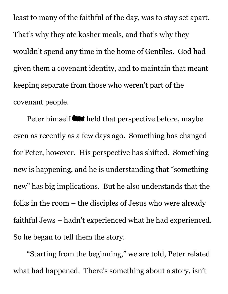least to many of the faithful of the day, was to stay set apart. That's why they ate kosher meals, and that's why they wouldn't spend any time in the home of Gentiles. God had given them a covenant identity, and to maintain that meant keeping separate from those who weren't part of the covenant people.

Peter himself **We** held that perspective before, maybe even as recently as a few days ago. Something has changed for Peter, however. His perspective has shifted. Something new is happening, and he is understanding that "something new" has big implications. But he also understands that the folks in the room – the disciples of Jesus who were already faithful Jews – hadn't experienced what he had experienced. So he began to tell them the story.

"Starting from the beginning," we are told, Peter related what had happened. There's something about a story, isn't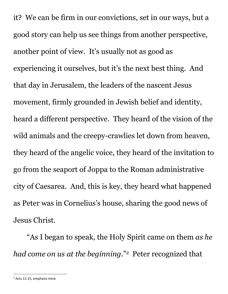it? We can be firm in our convictions, set in our ways, but a good story can help us see things from another perspective, another point of view. It's usually not as good as experiencing it ourselves, but it's the next best thing. And that day in Jerusalem, the leaders of the nascent Jesus movement, firmly grounded in Jewish belief and identity, heard a different perspective. They heard of the vision of the wild animals and the creepy-crawlies let down from heaven, they heard of the angelic voice, they heard of the invitation to go from the seaport of Joppa to the Roman administrative city of Caesarea. And, this is key, they heard what happened as Peter was in Cornelius's house, sharing the good news of Jesus Christ.

"As I began to speak, the Holy Spirit came on them *as he had come on us at the beginning*."<sup>2</sup> Peter recognized that

<sup>2</sup> Acts 11:15, emphasis mine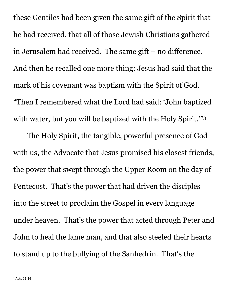these Gentiles had been given the same gift of the Spirit that he had received, that all of those Jewish Christians gathered in Jerusalem had received. The same gift – no difference. And then he recalled one more thing: Jesus had said that the mark of his covenant was baptism with the Spirit of God. "Then I remembered what the Lord had said: 'John baptized with water, but you will be baptized with the Holy Spirit."<sup>3</sup>

The Holy Spirit, the tangible, powerful presence of God with us, the Advocate that Jesus promised his closest friends, the power that swept through the Upper Room on the day of Pentecost. That's the power that had driven the disciples into the street to proclaim the Gospel in every language under heaven. That's the power that acted through Peter and John to heal the lame man, and that also steeled their hearts to stand up to the bullying of the Sanhedrin. That's the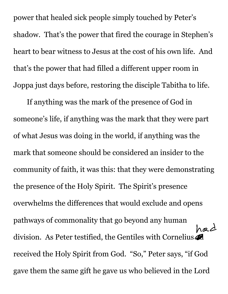power that healed sick people simply touched by Peter's shadow. That's the power that fired the courage in Stephen's heart to bear witness to Jesus at the cost of his own life. And that's the power that had filled a different upper room in Joppa just days before, restoring the disciple Tabitha to life.

If anything was the mark of the presence of God in someone's life, if anything was the mark that they were part of what Jesus was doing in the world, if anything was the mark that someone should be considered an insider to the community of faith, it was this: that they were demonstrating the presence of the Holy Spirit. The Spirit's presence overwhelms the differences that would exclude and opens pathways of commonality that go beyond any human had division. As Peter testified, the Gentiles with Cornelius received the Holy Spirit from God. "So," Peter says, "if God gave them the same gift he gave us who believed in the Lord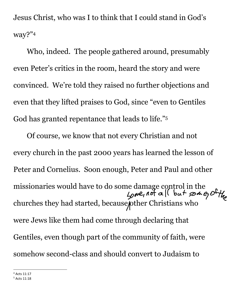Jesus Christ, who was I to think that I could stand in God's way?"4

Who, indeed. The people gathered around, presumably even Peter's critics in the room, heard the story and were convinced. We're told they raised no further objections and even that they lifted praises to God, since "even to Gentiles God has granted repentance that leads to life."<sup>5</sup>

Of course, we know that not every Christian and not every church in the past 2000 years has learned the lesson of Peter and Cornelius. Soon enough, Peter and Paul and other missionaries would have to do some damage control in the  $\frac{1}{2}$   $\frac{1}{2}$   $\frac{1}{2}$   $\frac{1}{2}$   $\frac{1}{2}$   $\frac{1}{2}$   $\frac{1}{2}$   $\frac{1}{2}$   $\frac{1}{2}$   $\frac{1}{2}$   $\frac{1}{2}$   $\frac{1}{2}$   $\frac{1}{2}$   $\frac{1}{2}$   $\frac{1}{2}$   $\frac{1}{2}$   $\frac{$ churches they had started, because pther Christians who were Jews like them had come through declaring that Gentiles, even though part of the community of faith, were somehow second-class and should convert to Judaism to

<sup>4</sup> Acts 11:17

<sup>5</sup> Acts 11:18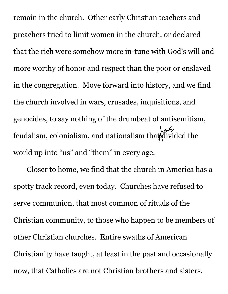remain in the church. Other early Christian teachers and preachers tried to limit women in the church, or declared that the rich were somehow more in-tune with God's will and more worthy of honor and respect than the poor or enslaved in the congregation. Move forward into history, and we find the church involved in wars, crusades, inquisitions, and genocides, to say nothing of the drumbeat of antisemitism, feudalism, colonialism, and nationalism that divided the world up into "us" and "them" in every age.

Closer to home, we find that the church in America has a spotty track record, even today. Churches have refused to serve communion, that most common of rituals of the Christian community, to those who happen to be members of other Christian churches. Entire swaths of American Christianity have taught, at least in the past and occasionally now, that Catholics are not Christian brothers and sisters.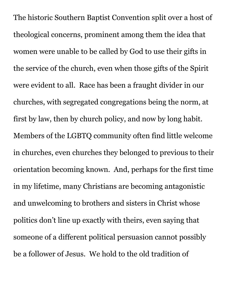The historic Southern Baptist Convention split over a host of theological concerns, prominent among them the idea that women were unable to be called by God to use their gifts in the service of the church, even when those gifts of the Spirit were evident to all. Race has been a fraught divider in our churches, with segregated congregations being the norm, at first by law, then by church policy, and now by long habit. Members of the LGBTQ community often find little welcome in churches, even churches they belonged to previous to their orientation becoming known. And, perhaps for the first time in my lifetime, many Christians are becoming antagonistic and unwelcoming to brothers and sisters in Christ whose politics don't line up exactly with theirs, even saying that someone of a different political persuasion cannot possibly be a follower of Jesus. We hold to the old tradition of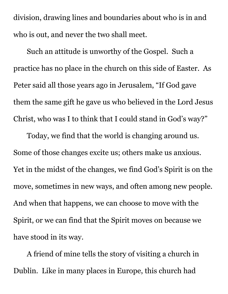division, drawing lines and boundaries about who is in and who is out, and never the two shall meet.

Such an attitude is unworthy of the Gospel. Such a practice has no place in the church on this side of Easter. As Peter said all those years ago in Jerusalem, "If God gave them the same gift he gave us who believed in the Lord Jesus Christ, who was I to think that I could stand in God's way?"

Today, we find that the world is changing around us. Some of those changes excite us; others make us anxious. Yet in the midst of the changes, we find God's Spirit is on the move, sometimes in new ways, and often among new people. And when that happens, we can choose to move with the Spirit, or we can find that the Spirit moves on because we have stood in its way.

A friend of mine tells the story of visiting a church in Dublin. Like in many places in Europe, this church had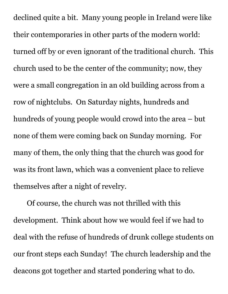declined quite a bit. Many young people in Ireland were like their contemporaries in other parts of the modern world: turned off by or even ignorant of the traditional church. This church used to be the center of the community; now, they were a small congregation in an old building across from a row of nightclubs. On Saturday nights, hundreds and hundreds of young people would crowd into the area – but none of them were coming back on Sunday morning. For many of them, the only thing that the church was good for was its front lawn, which was a convenient place to relieve themselves after a night of revelry.

Of course, the church was not thrilled with this development. Think about how we would feel if we had to deal with the refuse of hundreds of drunk college students on our front steps each Sunday! The church leadership and the deacons got together and started pondering what to do.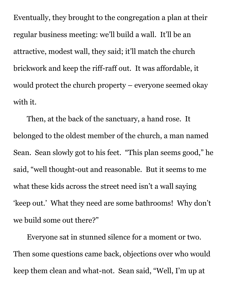Eventually, they brought to the congregation a plan at their regular business meeting: we'll build a wall. It'll be an attractive, modest wall, they said; it'll match the church brickwork and keep the riff-raff out. It was affordable, it would protect the church property – everyone seemed okay with it.

Then, at the back of the sanctuary, a hand rose. It belonged to the oldest member of the church, a man named Sean. Sean slowly got to his feet. "This plan seems good," he said, "well thought-out and reasonable. But it seems to me what these kids across the street need isn't a wall saying 'keep out.' What they need are some bathrooms! Why don't we build some out there?"

Everyone sat in stunned silence for a moment or two. Then some questions came back, objections over who would keep them clean and what-not. Sean said, "Well, I'm up at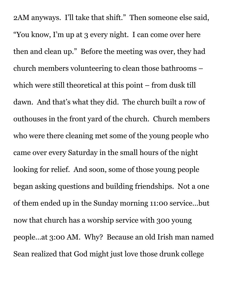2AM anyways. I'll take that shift." Then someone else said, "You know, I'm up at 3 every night. I can come over here then and clean up." Before the meeting was over, they had church members volunteering to clean those bathrooms – which were still theoretical at this point – from dusk till dawn. And that's what they did. The church built a row of outhouses in the front yard of the church. Church members who were there cleaning met some of the young people who came over every Saturday in the small hours of the night looking for relief. And soon, some of those young people began asking questions and building friendships. Not a one of them ended up in the Sunday morning 11:00 service…but now that church has a worship service with 300 young people…at 3:00 AM. Why? Because an old Irish man named Sean realized that God might just love those drunk college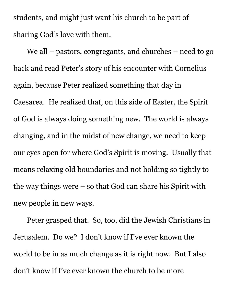students, and might just want his church to be part of sharing God's love with them.

We all – pastors, congregants, and churches – need to go back and read Peter's story of his encounter with Cornelius again, because Peter realized something that day in Caesarea. He realized that, on this side of Easter, the Spirit of God is always doing something new. The world is always changing, and in the midst of new change, we need to keep our eyes open for where God's Spirit is moving. Usually that means relaxing old boundaries and not holding so tightly to the way things were  $-$  so that God can share his Spirit with new people in new ways.

Peter grasped that. So, too, did the Jewish Christians in Jerusalem. Do we? I don't know if I've ever known the world to be in as much change as it is right now. But I also don't know if I've ever known the church to be more